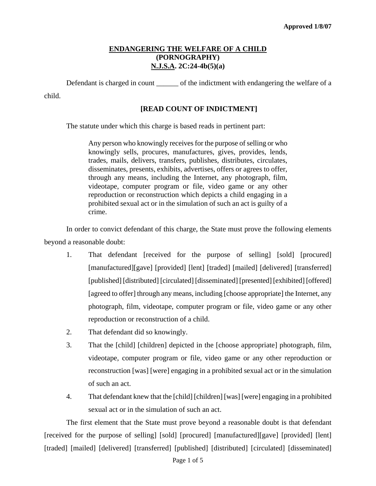Defendant is charged in count \_\_\_\_\_\_\_\_ of the indictment with endangering the welfare of a child.

### **[READ COUNT OF INDICTMENT]**

The statute under which this charge is based reads in pertinent part:

Any person who knowingly receives for the purpose of selling or who knowingly sells, procures, manufactures, gives, provides, lends, trades, mails, delivers, transfers, publishes, distributes, circulates, disseminates, presents, exhibits, advertises, offers or agrees to offer, through any means, including the Internet, any photograph, film, videotape, computer program or file, video game or any other reproduction or reconstruction which depicts a child engaging in a prohibited sexual act or in the simulation of such an act is guilty of a crime.

In order to convict defendant of this charge, the State must prove the following elements beyond a reasonable doubt:

- 1. That defendant [received for the purpose of selling] [sold] [procured] [manufactured][gave] [provided] [lent] [traded] [mailed] [delivered] [transferred] [published] [distributed] [circulated] [disseminated] [presented] [exhibited] [offered] [agreed to offer] through any means, including [choose appropriate] the Internet, any photograph, film, videotape, computer program or file, video game or any other reproduction or reconstruction of a child.
- 2. That defendant did so knowingly.
- 3. That the [child] [children] depicted in the [choose appropriate] photograph, film, videotape, computer program or file, video game or any other reproduction or reconstruction [was] [were] engaging in a prohibited sexual act or in the simulation of such an act.
- 4. That defendant knew that the [child] [children] [was] [were] engaging in a prohibited sexual act or in the simulation of such an act.

<span id="page-0-0"></span>The first element that the State must prove beyond a reasonable doubt is that defendant [received for the purpose of selling] [sold] [procured] [manufactured][gave] [provided] [lent] [traded] [mailed] [delivered] [transferred] [published] [distributed] [circulated] [disseminated]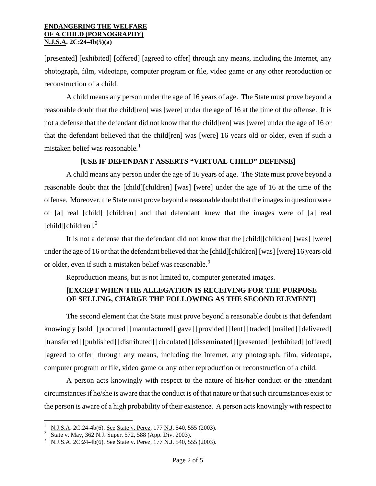[presented] [exhibited] [offered] [agreed to offer] through any means, including the Internet, any photograph, film, videotape, computer program or file, video game or any other reproduction or reconstruction of a child.

A child means any person under the age of 16 years of age. The State must prove beyond a reasonable doubt that the child[ren] was [were] under the age of 16 at the time of the offense. It is not a defense that the defendant did not know that the child[ren] was [were] under the age of 16 or that the defendant believed that the child[ren] was [were] 16 years old or older, even if such a mistaken belief was reasonable.<sup>[1](#page-0-0)</sup>

### **[USE IF DEFENDANT ASSERTS "VIRTUAL CHILD" DEFENSE]**

A child means any person under the age of 16 years of age. The State must prove beyond a reasonable doubt that the [child][children] [was] [were] under the age of 16 at the time of the offense. Moreover, the State must prove beyond a reasonable doubt that the images in question were of [a] real [child] [children] and that defendant knew that the images were of [a] real  $[child][children].<sup>2</sup>$  $[child][children].<sup>2</sup>$  $[child][children].<sup>2</sup>$ 

It is not a defense that the defendant did not know that the [child][children] [was] [were] under the age of 16 or that the defendant believed that the [child][children] [was] [were] 16 years old or older, even if such a mistaken belief was reasonable.<sup>[3](#page-1-1)</sup>

Reproduction means, but is not limited to, computer generated images.

## **[EXCEPT WHEN THE ALLEGATION IS RECEIVING FOR THE PURPOSE OF SELLING, CHARGE THE FOLLOWING AS THE SECOND ELEMENT]**

The second element that the State must prove beyond a reasonable doubt is that defendant knowingly [sold] [procured] [manufactured][gave] [provided] [lent] [traded] [mailed] [delivered] [transferred] [published] [distributed] [circulated] [disseminated] [presented] [exhibited] [offered] [agreed to offer] through any means, including the Internet, any photograph, film, videotape, computer program or file, video game or any other reproduction or reconstruction of a child.

<span id="page-1-2"></span>A person acts knowingly with respect to the nature of his/her conduct or the attendant circumstances if he/she is aware that the conduct is of that nature or that such circumstances exist or the person is aware of a high probability of their existence. A person acts knowingly with respect to

i<br>Li

<sup>1</sup> N.J.S.A. 2C:24-4b(6). See State v. Perez, 177 N.J. 540, 555 (2003). 2

<span id="page-1-0"></span>State v. May, 362 N.J. Super. 572, 588 (App. Div. 2003).

<span id="page-1-1"></span>N.J.S.A. 2C:24-4b(6). See State v. Perez, 177 N.J. 540, 555 (2003).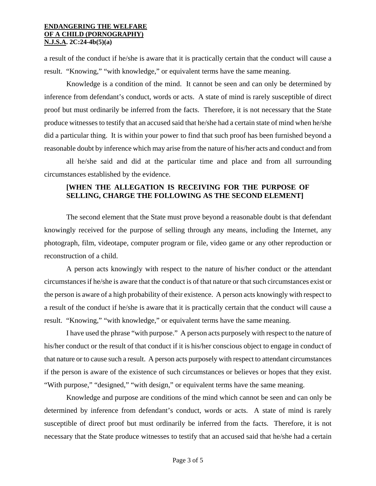a result of the conduct if he/she is aware that it is practically certain that the conduct will cause a result. "Knowing," "with knowledge," or equivalent terms have the same meaning.

Knowledge is a condition of the mind. It cannot be seen and can only be determined by inference from defendant's conduct, words or acts. A state of mind is rarely susceptible of direct proof but must ordinarily be inferred from the facts. Therefore, it is not necessary that the State produce witnesses to testify that an accused said that he/she had a certain state of mind when he/she did a particular thing. It is within your power to find that such proof has been furnished beyond a reasonable doubt by inference which may arise from the nature of his/her acts and conduct and from

all he/she said and did at the particular time and place and from all surrounding circumstances established by the evidence.

### **[WHEN THE ALLEGATION IS RECEIVING FOR THE PURPOSE OF SELLING, CHARGE THE FOLLOWING AS THE SECOND ELEMENT]**

The second element that the State must prove beyond a reasonable doubt is that defendant knowingly received for the purpose of selling through any means, including the Internet, any photograph, film, videotape, computer program or file, video game or any other reproduction or reconstruction of a child.

A person acts knowingly with respect to the nature of his/her conduct or the attendant circumstances if he/she is aware that the conduct is of that nature or that such circumstances exist or the person is aware of a high probability of their existence. A person acts knowingly with respect to a result of the conduct if he/she is aware that it is practically certain that the conduct will cause a result. "Knowing," "with knowledge," or equivalent terms have the same meaning.

I have used the phrase "with purpose." A person acts purposely with respect to the nature of his/her conduct or the result of that conduct if it is his/her conscious object to engage in conduct of that nature or to cause such a result. A person acts purposely with respect to attendant circumstances if the person is aware of the existence of such circumstances or believes or hopes that they exist. "With purpose," "designed," "with design," or equivalent terms have the same meaning.

Knowledge and purpose are conditions of the mind which cannot be seen and can only be determined by inference from defendant's conduct, words or acts. A state of mind is rarely susceptible of direct proof but must ordinarily be inferred from the facts. Therefore, it is not necessary that the State produce witnesses to testify that an accused said that he/she had a certain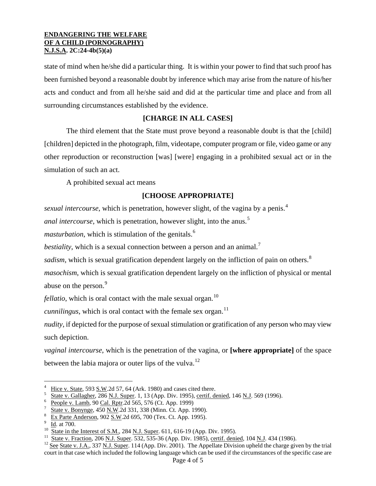state of mind when he/she did a particular thing. It is within your power to find that such proof has been furnished beyond a reasonable doubt by inference which may arise from the nature of his/her acts and conduct and from all he/she said and did at the particular time and place and from all surrounding circumstances established by the evidence.

## **[CHARGE IN ALL CASES]**

The third element that the State must prove beyond a reasonable doubt is that the [child] [children] depicted in the photograph, film, videotape, computer program or file, video game or any other reproduction or reconstruction [was] [were] engaging in a prohibited sexual act or in the simulation of such an act.

A prohibited sexual act means

# **[CHOOSE APPROPRIATE]**

*sexual intercourse*, which is penetration, however slight, of the vagina by a penis.<sup>[4](#page-1-2)</sup>

*anal intercourse*, which is penetration, however slight, into the anus.<sup>[5](#page-3-0)</sup>

*masturbation*, which is stimulation of the genitals.<sup>[6](#page-3-1)</sup>

*bestiality*, which is a sexual connection between a person and an animal.<sup>[7](#page-3-2)</sup>

*sadism*, which is sexual gratification dependent largely on the infliction of pain on others.<sup>[8](#page-3-3)</sup>

*masochism*, which is sexual gratification dependent largely on the infliction of physical or mental abuse on the person.<sup>[9](#page-3-4)</sup>

*fellatio*, which is oral contact with the male sexual organ.<sup>[10](#page-3-5)</sup>

*cunnilingus*, which is oral contact with the female sex organ.<sup>[11](#page-3-6)</sup>

*nudity*, if depicted for the purpose of sexual stimulation or gratification of any person who may view such depiction.

*vaginal intercourse*, which is the penetration of the vagina, or **[where appropriate]** of the space between the labia majora or outer lips of the vulva.<sup>[12](#page-3-7)</sup>

i

<sup>4</sup> Hice v. State, 593 S.W.2d 57, 64 (Ark. 1980) and cases cited there.

<span id="page-3-0"></span>State v. Gallagher, 286 N.J. Super. 1, 13 (App. Div. 1995), certif. denied, 146 N.J. 569 (1996).

<span id="page-3-1"></span><sup>&</sup>lt;sup>6</sup> People v. Lamb, 90 Cal. Rptr.2d 565, 576 (Ct. App. 1999)

<span id="page-3-2"></span>State v. Bonynge, 450 N.W.2d 331, 338 (Minn. Ct. App. 1990).

<span id="page-3-3"></span>Ex Parte Anderson, 902 S.W.2d 695, 700 (Tex. Ct. App. 1995). Id. at 700.

<span id="page-3-4"></span>

<span id="page-3-6"></span><span id="page-3-5"></span><sup>&</sup>lt;sup>10</sup> State in the Interest of S.M., 284 <u>N.J. Super</u>. 611, 616-19 (App. Div. 1995).<br><sup>11</sup> State v. Fraction, 206 <u>N.J. Super</u>. 532, 535-36 (App. Div. 1985), <u>certif. denied</u>, 104 <u>N.J</u>. 434 (1986).<br><sup>12</sup> See State v. J.A.,

<span id="page-3-7"></span>court in that case which included the following language which can be used if the circumstances of the specific case are